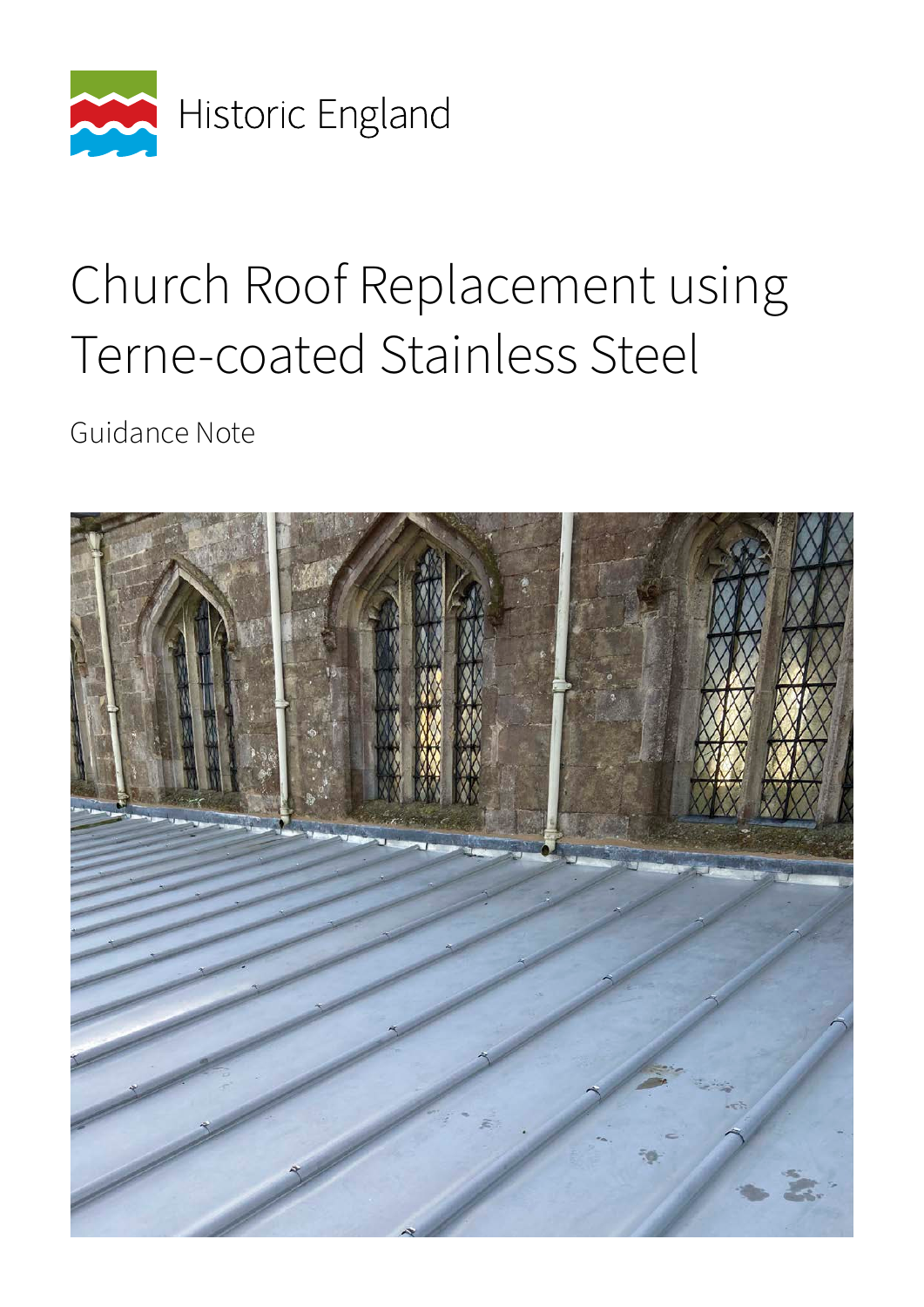

## Church Roof Replacement using Terne-coated Stainless Steel

Guidance Note

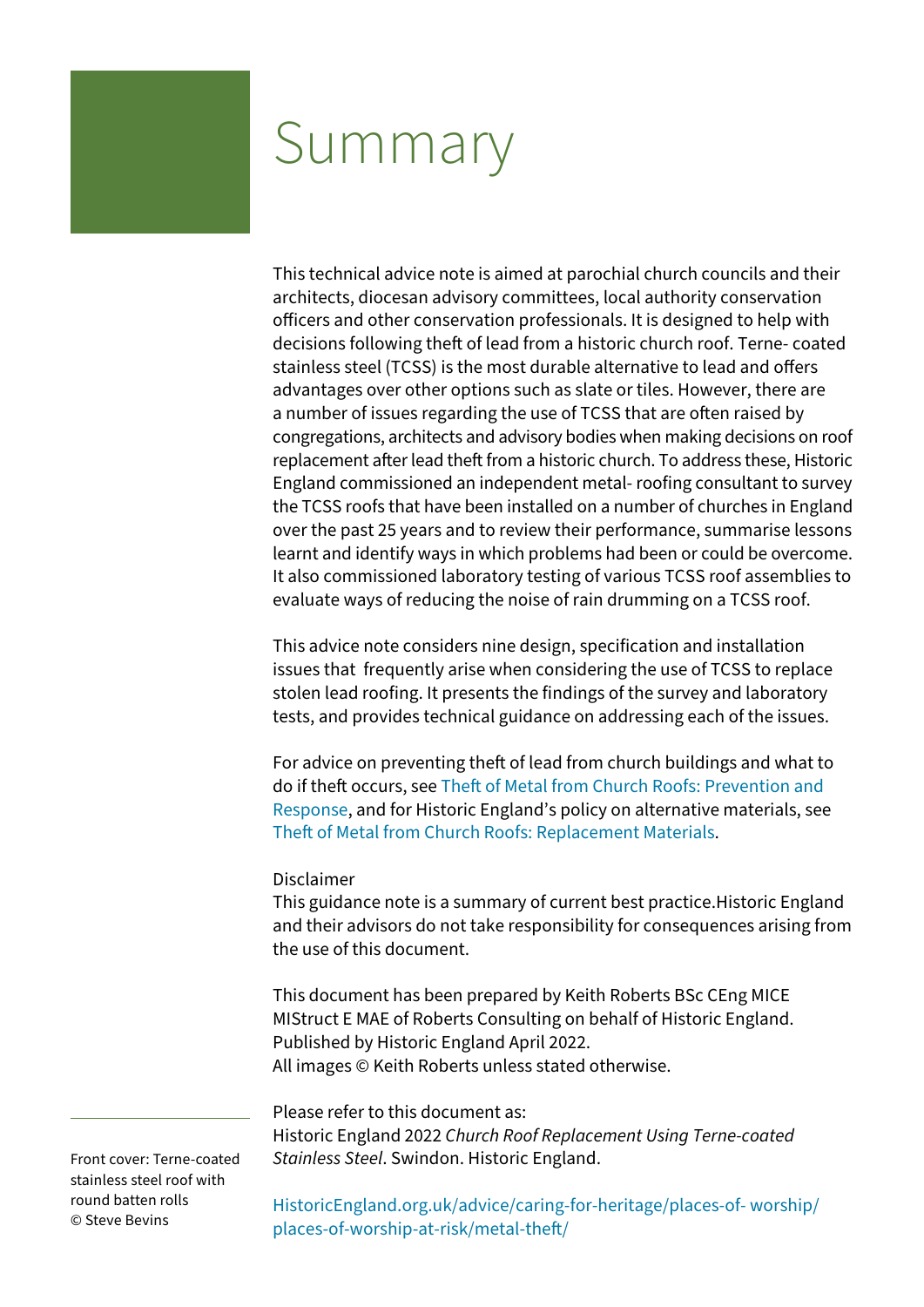## Summary

This technical advice note is aimed at parochial church councils and their architects, diocesan advisory committees, local authority conservation officers and other conservation professionals. It is designed to help with decisions following theft of lead from a historic church roof. Terne- coated stainless steel (TCSS) is the most durable alternative to lead and offers advantages over other options such as slate or tiles. However, there are a number of issues regarding the use of TCSS that are often raised by congregations, architects and advisory bodies when making decisions on roof replacement after lead theft from a historic church. To address these, Historic England commissioned an independent metal- roofing consultant to survey the TCSS roofs that have been installed on a number of churches in England over the past 25 years and to review their performance, summarise lessons learnt and identify ways in which problems had been or could be overcome. It also commissioned laboratory testing of various TCSS roof assemblies to evaluate ways of reducing the noise of rain drumming on a TCSS roof.

This advice note considers nine design, specification and installation issues that frequently arise when considering the use of TCSS to replace stolen lead roofing. It presents the findings of the survey and laboratory tests, and provides technical guidance on addressing each of the issues.

For advice on preventing theft of lead from church buildings and what to do if theft occurs, see [Theft of Metal from Church Roofs: Prevention and](https://historicengland.org.uk/images-books/publications/theft-metal-church-roofs-prevention-response/)  [Response](https://historicengland.org.uk/images-books/publications/theft-metal-church-roofs-prevention-response/), and for Historic England's policy on alternative materials, see [Theft of Metal from Church Roofs: Replacement Materials.](https://historicengland.org.uk/images-books/publications/theft-metal-church-roofs-replacement-materials/)

#### Disclaimer

This guidance note is a summary of current best practice.Historic England and their advisors do not take responsibility for consequences arising from the use of this document.

This document has been prepared by Keith Roberts BSc CEng MICE MIStruct E MAE of Roberts Consulting on behalf of Historic England. Published by Historic England April 2022. All images © Keith Roberts unless stated otherwise.

Please refer to this document as:

Historic England 2022 *Church Roof Replacement Using Terne-coated Stainless Steel*. Swindon. Historic England.

Front cover: Terne-coated stainless steel roof with round batten rolls © Steve Bevins

[HistoricEngland.org.uk/advice/caring-for-heritage/places-of- worship/](https://historicengland.org.uk/advice/caring-for-heritage/places-of-worship/places-of-worship-at-risk/metal-theft/) [places-of-worship-at-risk/metal-theft/](https://historicengland.org.uk/advice/caring-for-heritage/places-of-worship/places-of-worship-at-risk/metal-theft/)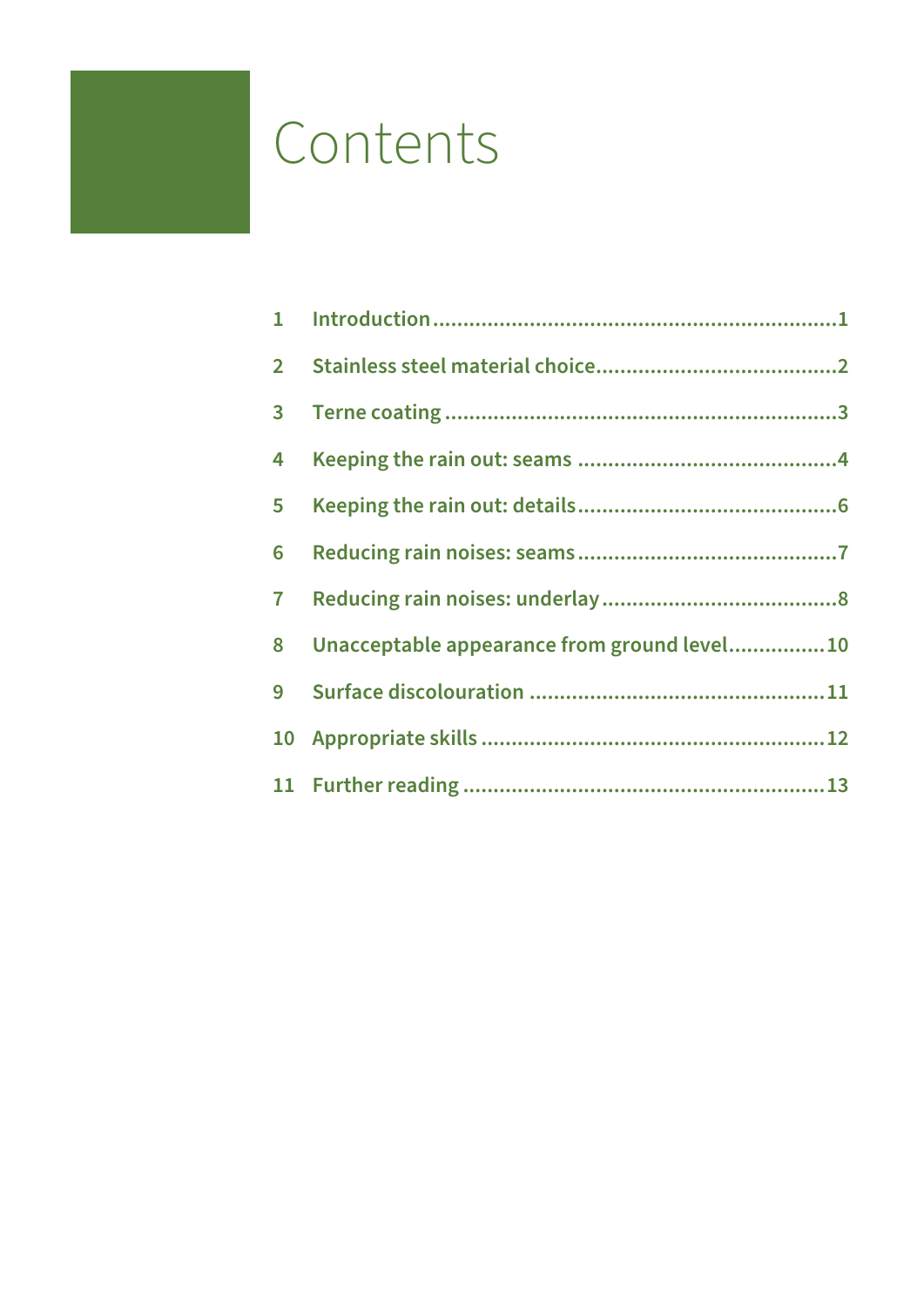## <span id="page-2-0"></span>Contents

| $\mathbf{1}$   |                                             |  |
|----------------|---------------------------------------------|--|
| $\overline{2}$ |                                             |  |
| $\mathbf{3}$   |                                             |  |
| 4              |                                             |  |
| $5\phantom{a}$ |                                             |  |
| 6              |                                             |  |
| $\overline{I}$ |                                             |  |
| 8              | Unacceptable appearance from ground level10 |  |
| 9              |                                             |  |
|                |                                             |  |
|                |                                             |  |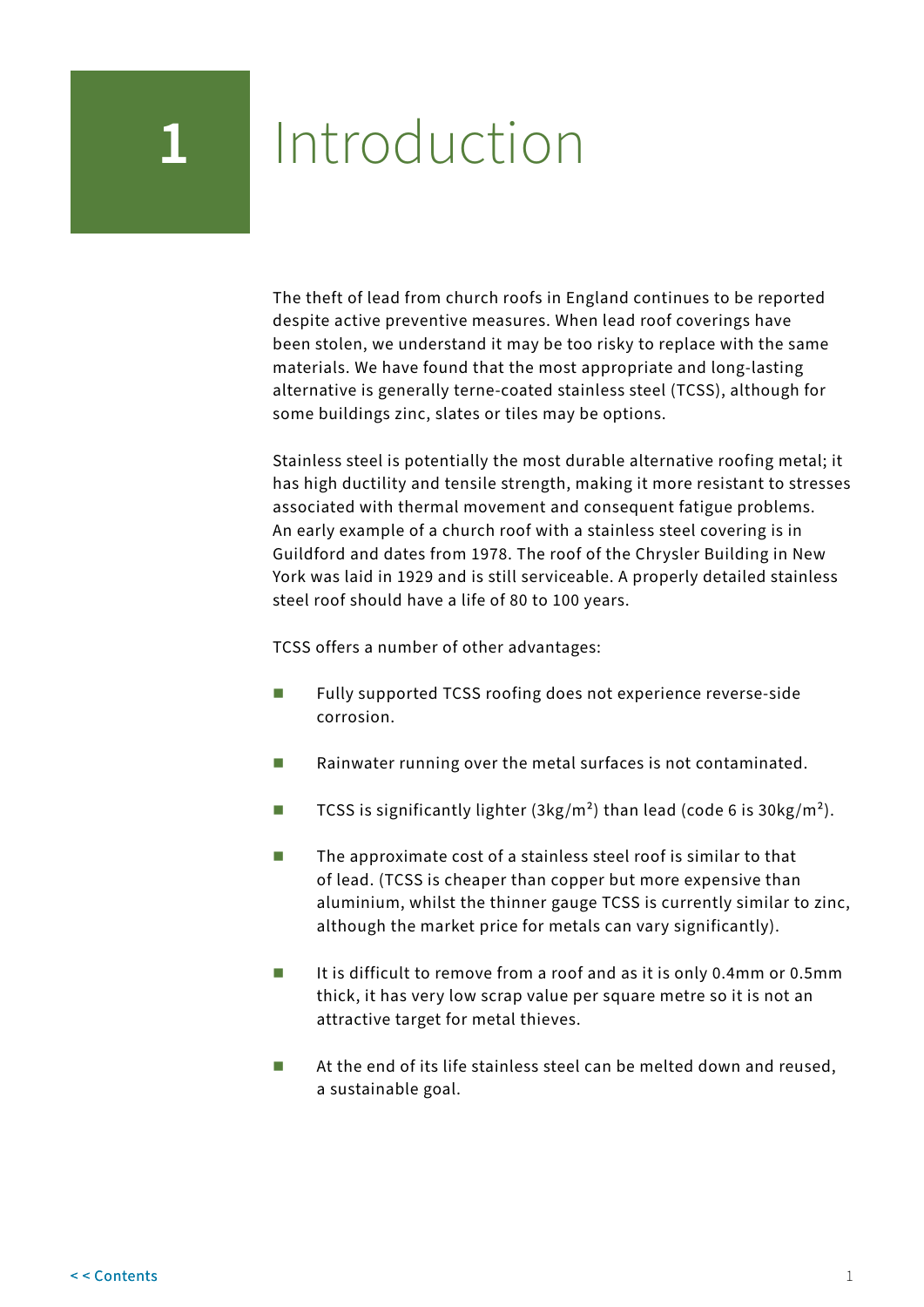# <span id="page-3-0"></span>**1** Introduction

The theft of lead from church roofs in England continues to be reported despite active preventive measures. When lead roof coverings have been stolen, we understand it may be too risky to replace with the same materials. We have found that the most appropriate and long-lasting alternative is generally terne-coated stainless steel (TCSS), although for some buildings zinc, slates or tiles may be options.

Stainless steel is potentially the most durable alternative roofing metal; it has high ductility and tensile strength, making it more resistant to stresses associated with thermal movement and consequent fatigue problems. An early example of a church roof with a stainless steel covering is in Guildford and dates from 1978. The roof of the Chrysler Building in New York was laid in 1929 and is still serviceable. A properly detailed stainless steel roof should have a life of 80 to 100 years.

TCSS offers a number of other advantages:

- Fully supported TCSS roofing does not experience reverse-side corrosion.
- $\blacksquare$  Rainwater running over the metal surfaces is not contaminated.
- TCSS is significantly lighter  $(3 \text{kg/m}^2)$  than lead (code 6 is 30kg/m<sup>2</sup>).
- $\blacksquare$  The approximate cost of a stainless steel roof is similar to that of lead. (TCSS is cheaper than copper but more expensive than aluminium, whilst the thinner gauge TCSS is currently similar to zinc, although the market price for metals can vary significantly).
- It is difficult to remove from a roof and as it is only 0.4mm or 0.5mm thick, it has very low scrap value per square metre so it is not an attractive target for metal thieves.
- At the end of its life stainless steel can be melted down and reused, a sustainable goal.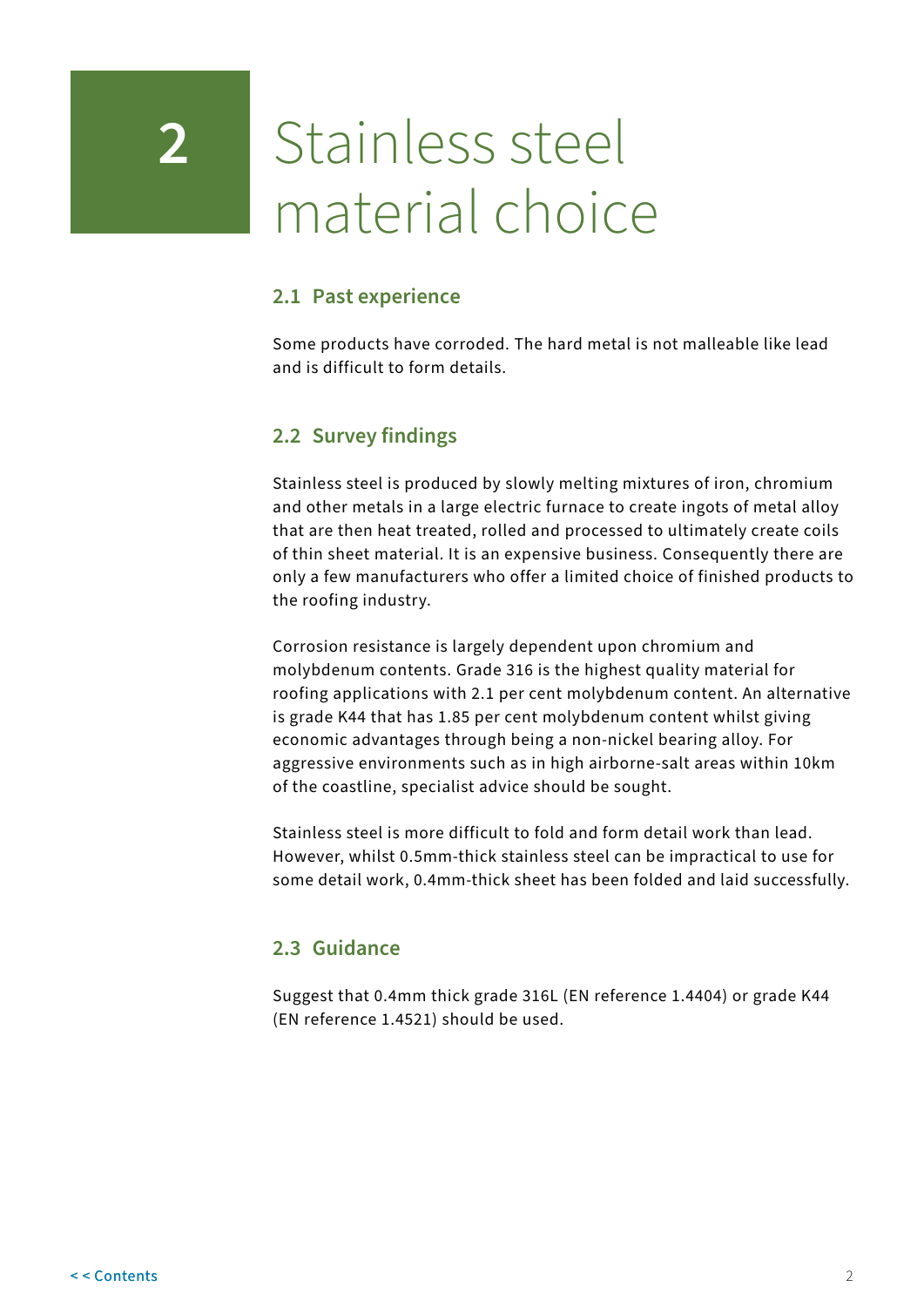## <span id="page-4-0"></span>**2** Stainless steel material choice

### **2.1 Past experience**

Some products have corroded. The hard metal is not malleable like lead and is difficult to form details.

## **2.2 Survey findings**

Stainless steel is produced by slowly melting mixtures of iron, chromium and other metals in a large electric furnace to create ingots of metal alloy that are then heat treated, rolled and processed to ultimately create coils of thin sheet material. It is an expensive business. Consequently there are only a few manufacturers who offer a limited choice of finished products to the roofing industry.

Corrosion resistance is largely dependent upon chromium and molybdenum contents. Grade 316 is the highest quality material for roofing applications with 2.1 per cent molybdenum content. An alternative is grade K44 that has 1.85 per cent molybdenum content whilst giving economic advantages through being a non-nickel bearing alloy. For aggressive environments such as in high airborne-salt areas within 10km of the coastline, specialist advice should be sought.

Stainless steel is more difficult to fold and form detail work than lead. However, whilst 0.5mm-thick stainless steel can be impractical to use for some detail work, 0.4mm-thick sheet has been folded and laid successfully.

## **2.3 Guidance**

Suggest that 0.4mm thick grade 316L (EN reference 1.4404) or grade K44 (EN reference 1.4521) should be used.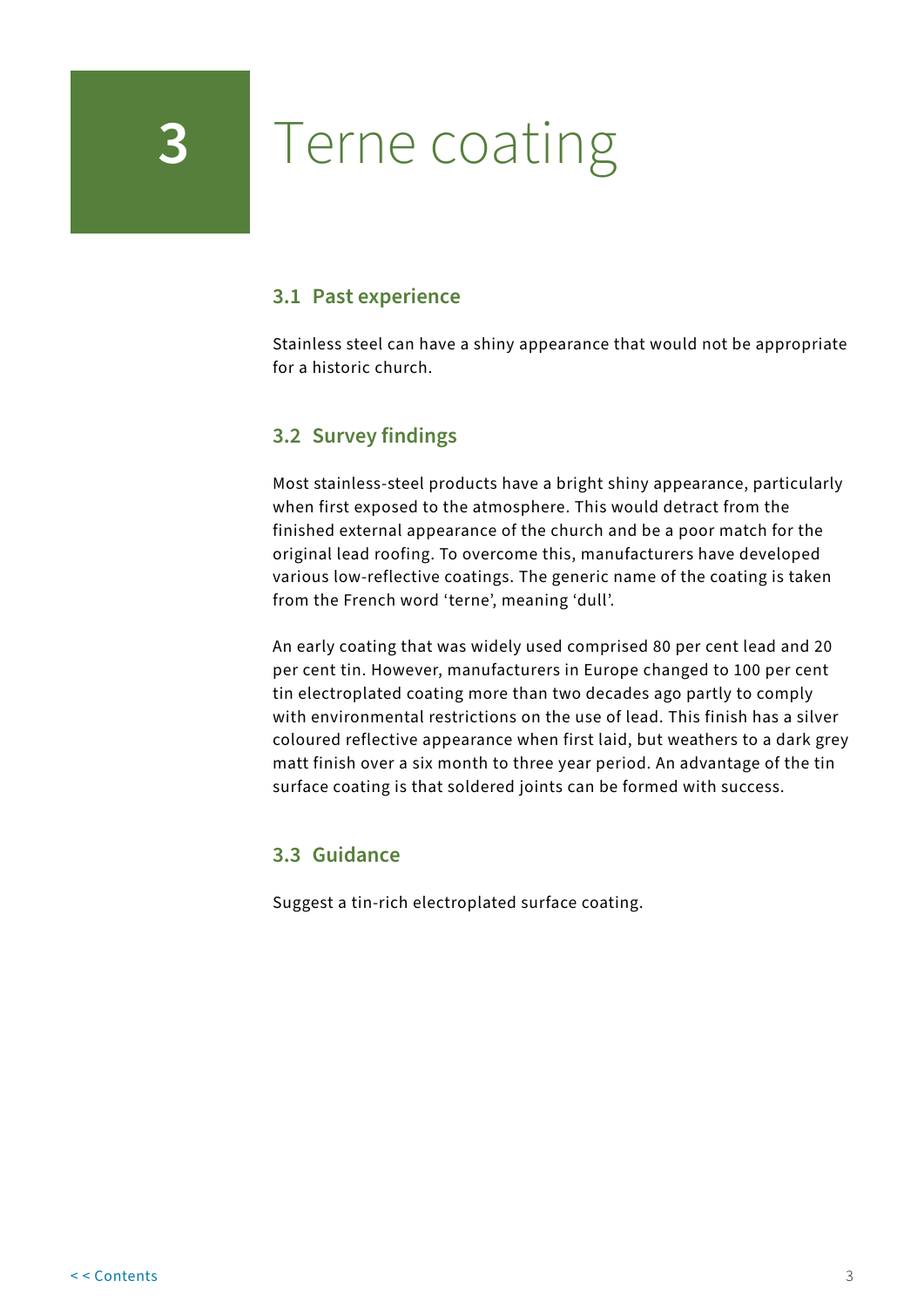## <span id="page-5-0"></span>**3** Terne coating

### **3.1 Past experience**

Stainless steel can have a shiny appearance that would not be appropriate for a historic church.

## **3.2 Survey findings**

Most stainless-steel products have a bright shiny appearance, particularly when first exposed to the atmosphere. This would detract from the finished external appearance of the church and be a poor match for the original lead roofing. To overcome this, manufacturers have developed various low-reflective coatings. The generic name of the coating is taken from the French word 'terne', meaning 'dull'.

An early coating that was widely used comprised 80 per cent lead and 20 per cent tin. However, manufacturers in Europe changed to 100 per cent tin electroplated coating more than two decades ago partly to comply with environmental restrictions on the use of lead. This finish has a silver coloured reflective appearance when first laid, but weathers to a dark grey matt finish over a six month to three year period. An advantage of the tin surface coating is that soldered joints can be formed with success.

#### **3.3 Guidance**

Suggest a tin-rich electroplated surface coating.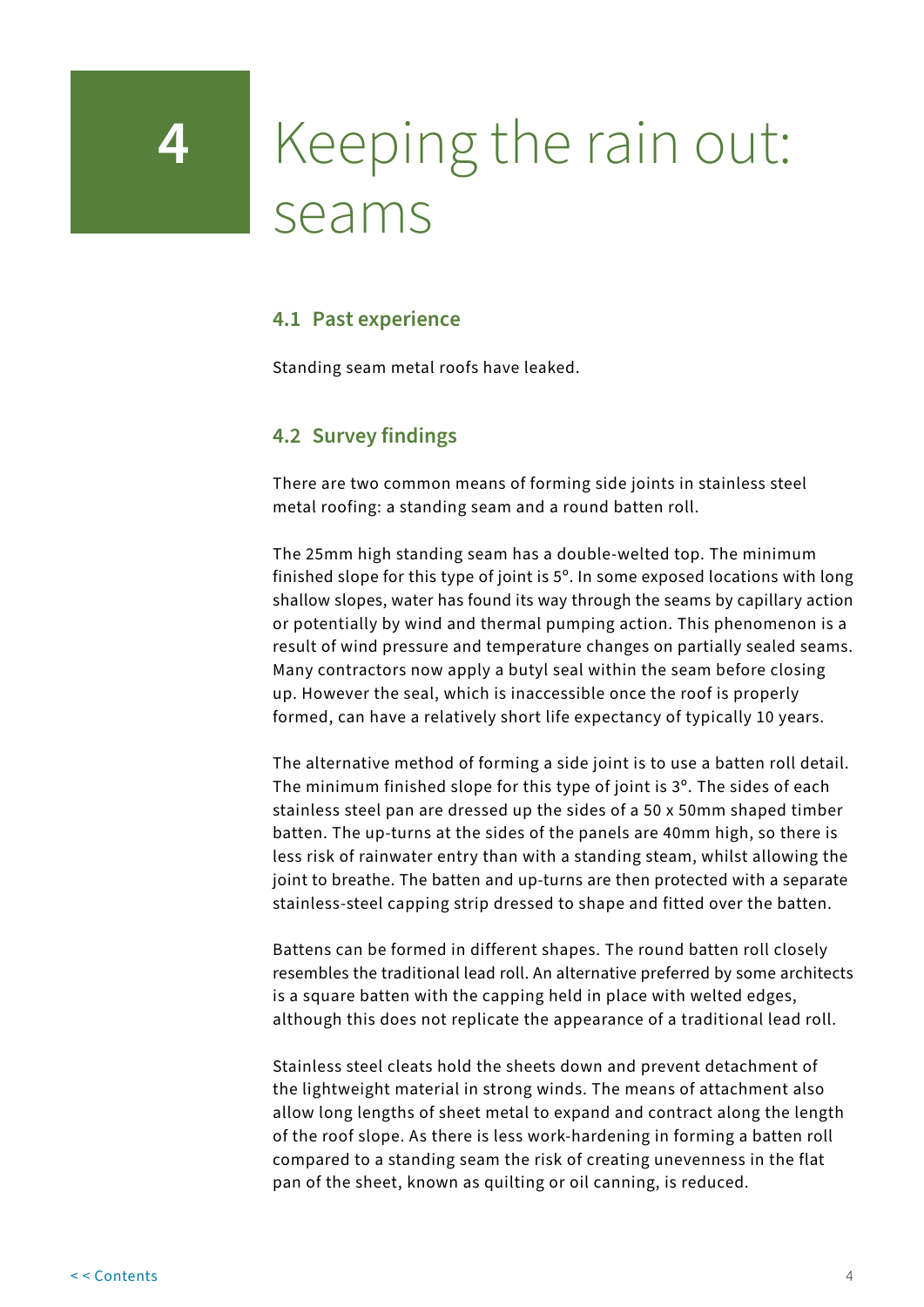## <span id="page-6-0"></span>**4** Keeping the rain out: seams

### **4.1 Past experience**

Standing seam metal roofs have leaked.

## **4.2 Survey findings**

There are two common means of forming side joints in stainless steel metal roofing: a standing seam and a round batten roll.

The 25mm high standing seam has a double-welted top. The minimum finished slope for this type of joint is 5º. In some exposed locations with long shallow slopes, water has found its way through the seams by capillary action or potentially by wind and thermal pumping action. This phenomenon is a result of wind pressure and temperature changes on partially sealed seams. Many contractors now apply a butyl seal within the seam before closing up. However the seal, which is inaccessible once the roof is properly formed, can have a relatively short life expectancy of typically 10 years.

The alternative method of forming a side joint is to use a batten roll detail. The minimum finished slope for this type of joint is 3º. The sides of each stainless steel pan are dressed up the sides of a 50 x 50mm shaped timber batten. The up-turns at the sides of the panels are 40mm high, so there is less risk of rainwater entry than with a standing steam, whilst allowing the joint to breathe. The batten and up-turns are then protected with a separate stainless-steel capping strip dressed to shape and fitted over the batten.

Battens can be formed in different shapes. The round batten roll closely resembles the traditional lead roll. An alternative preferred by some architects is a square batten with the capping held in place with welted edges, although this does not replicate the appearance of a traditional lead roll.

Stainless steel cleats hold the sheets down and prevent detachment of the lightweight material in strong winds. The means of attachment also allow long lengths of sheet metal to expand and contract along the length of the roof slope. As there is less work-hardening in forming a batten roll compared to a standing seam the risk of creating unevenness in the flat pan of the sheet, known as quilting or oil canning, is reduced.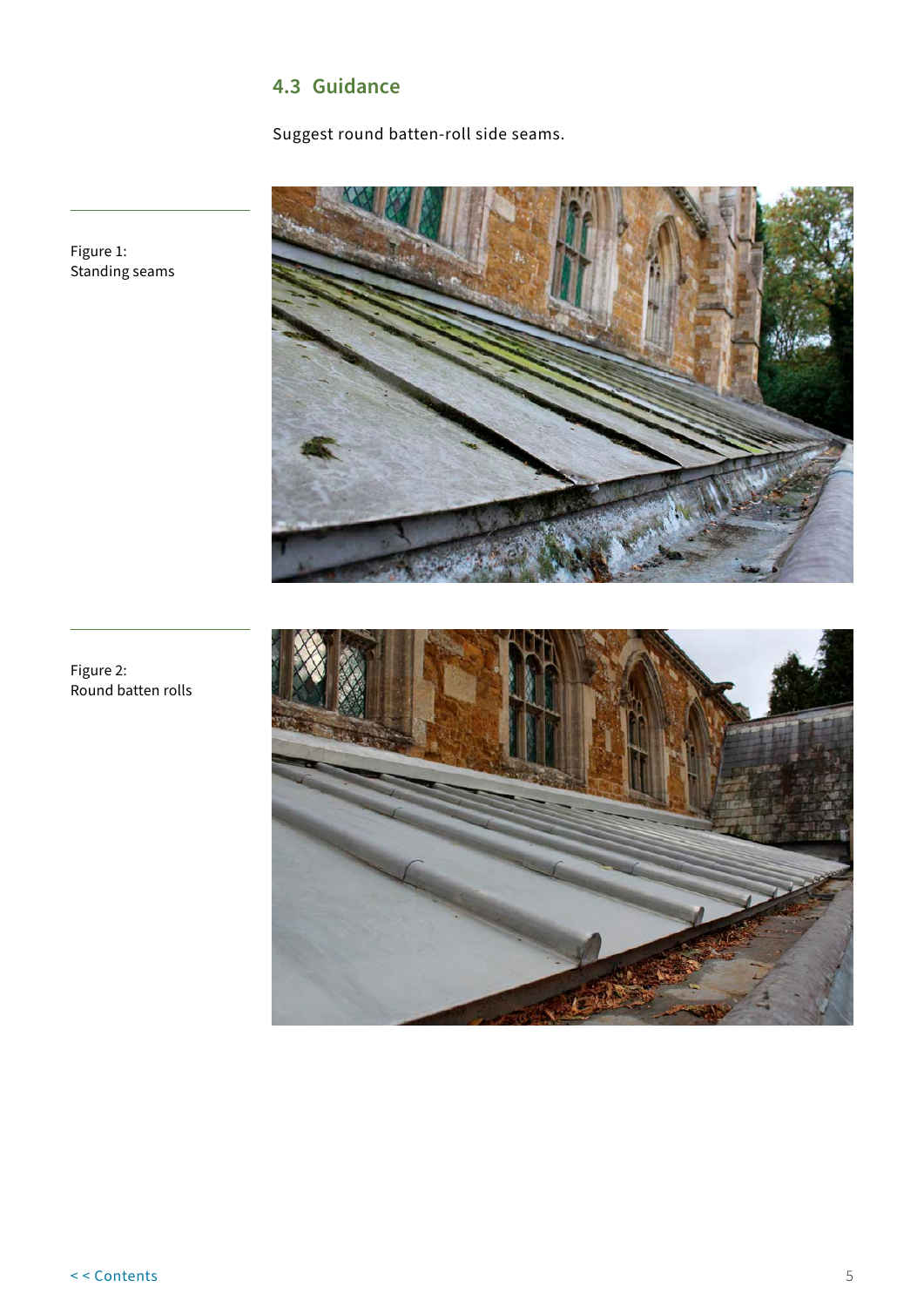## **4.3 Guidance**

Suggest round batten-roll side seams.



Figure 1: Standing seams



Figure 2: Round batten rolls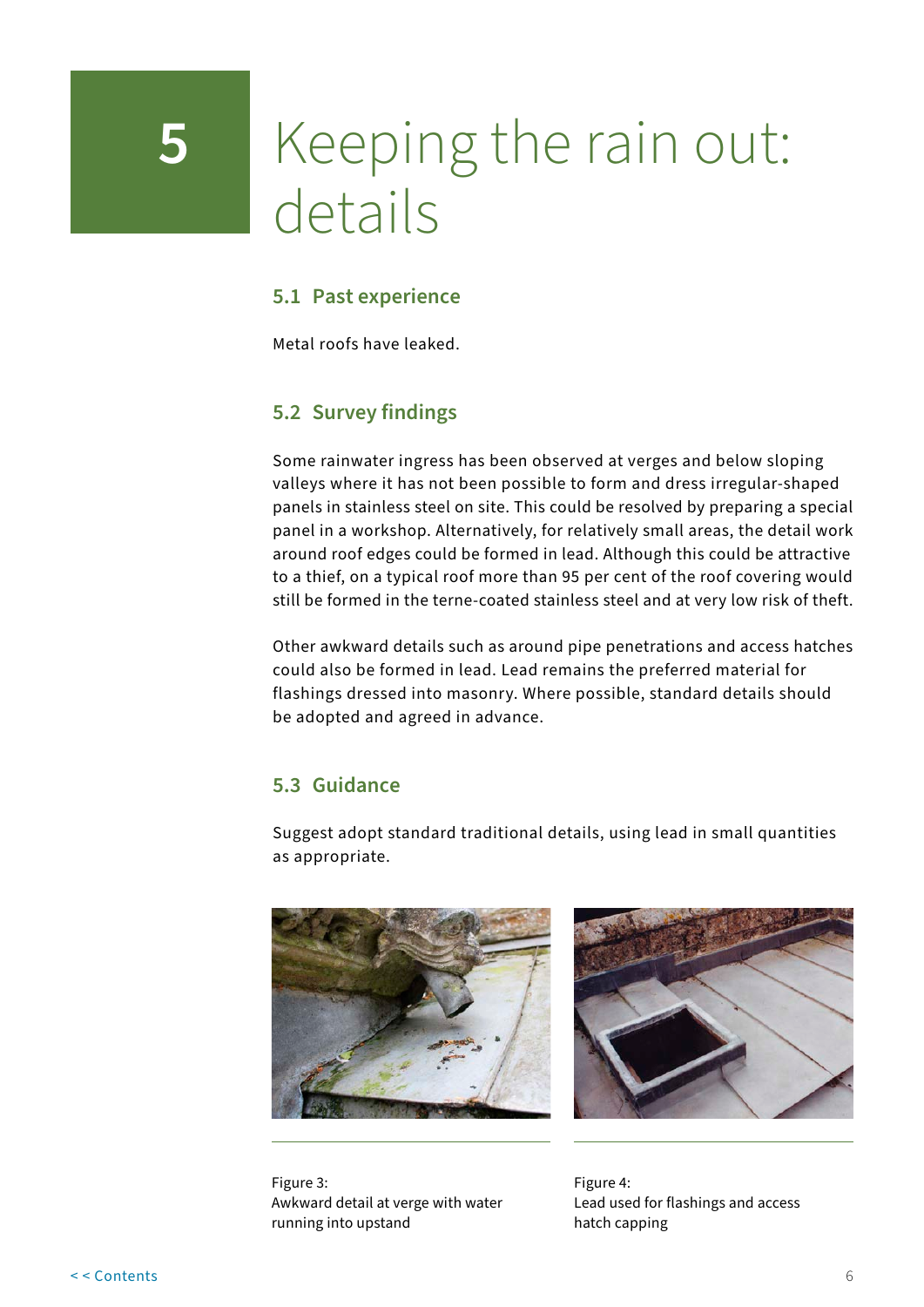## <span id="page-8-0"></span>**5** Keeping the rain out: details

## **5.1 Past experience**

Metal roofs have leaked.

## **5.2 Survey findings**

Some rainwater ingress has been observed at verges and below sloping valleys where it has not been possible to form and dress irregular-shaped panels in stainless steel on site. This could be resolved by preparing a special panel in a workshop. Alternatively, for relatively small areas, the detail work around roof edges could be formed in lead. Although this could be attractive to a thief, on a typical roof more than 95 per cent of the roof covering would still be formed in the terne-coated stainless steel and at very low risk of theft.

Other awkward details such as around pipe penetrations and access hatches could also be formed in lead. Lead remains the preferred material for flashings dressed into masonry. Where possible, standard details should be adopted and agreed in advance.

## **5.3 Guidance**

Suggest adopt standard traditional details, using lead in small quantities as appropriate.





Figure 3: Awkward detail at verge with water running into upstand

Figure 4: Lead used for flashings and access hatch capping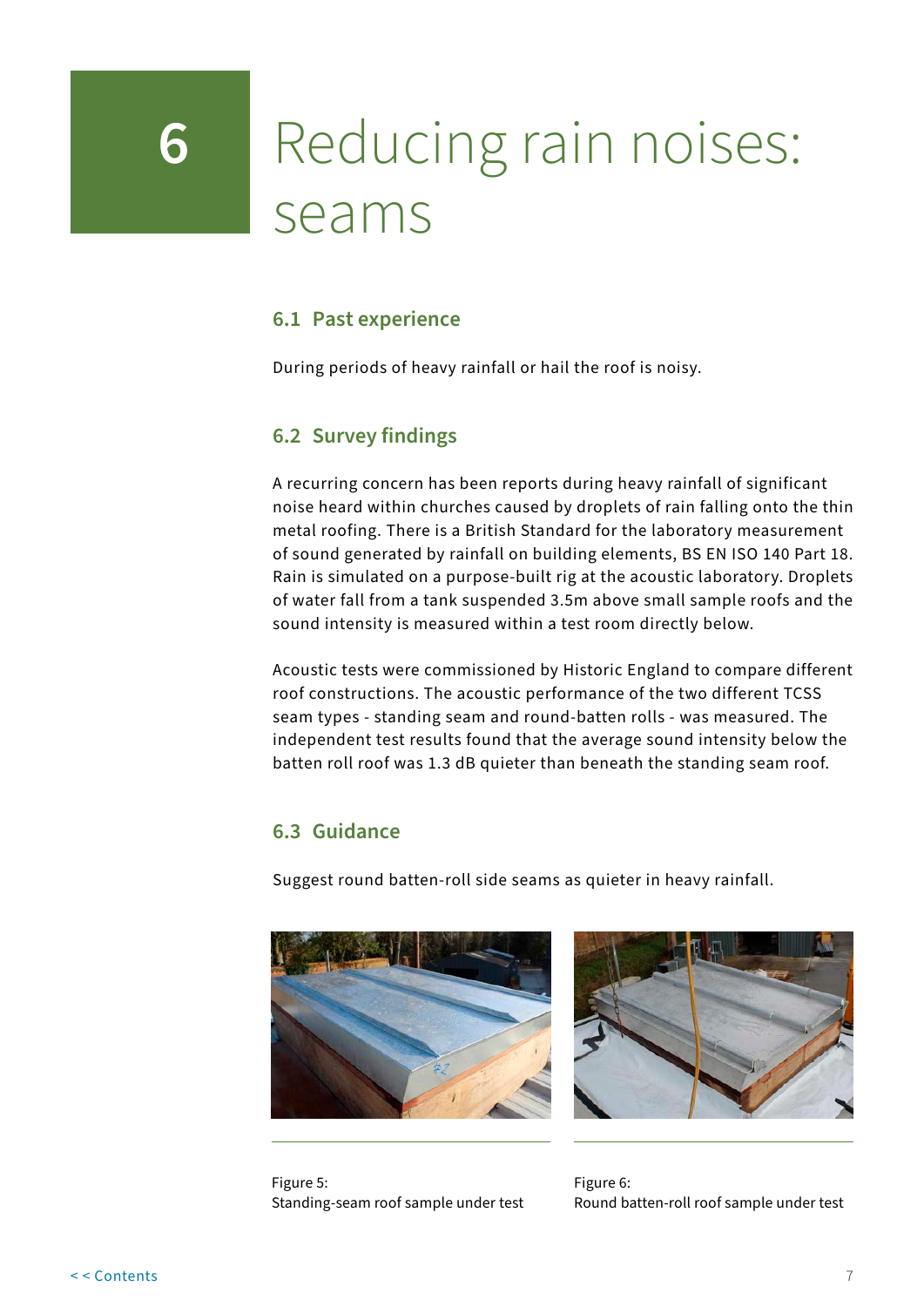## <span id="page-9-0"></span>**6** Reducing rain noises: seams

## **6.1 Past experience**

During periods of heavy rainfall or hail the roof is noisy.

## **6.2 Survey findings**

A recurring concern has been reports during heavy rainfall of significant noise heard within churches caused by droplets of rain falling onto the thin metal roofing. There is a British Standard for the laboratory measurement of sound generated by rainfall on building elements, BS EN ISO 140 Part 18. Rain is simulated on a purpose-built rig at the acoustic laboratory. Droplets of water fall from a tank suspended 3.5m above small sample roofs and the sound intensity is measured within a test room directly below.

Acoustic tests were commissioned by Historic England to compare different roof constructions. The acoustic performance of the two different TCSS seam types - standing seam and round-batten rolls - was measured. The independent test results found that the average sound intensity below the batten roll roof was 1.3 dB quieter than beneath the standing seam roof.

## **6.3 Guidance**

Suggest round batten-roll side seams as quieter in heavy rainfall.





Figure 5: Standing-seam roof sample under test

Figure 6: Round batten-roll roof sample under test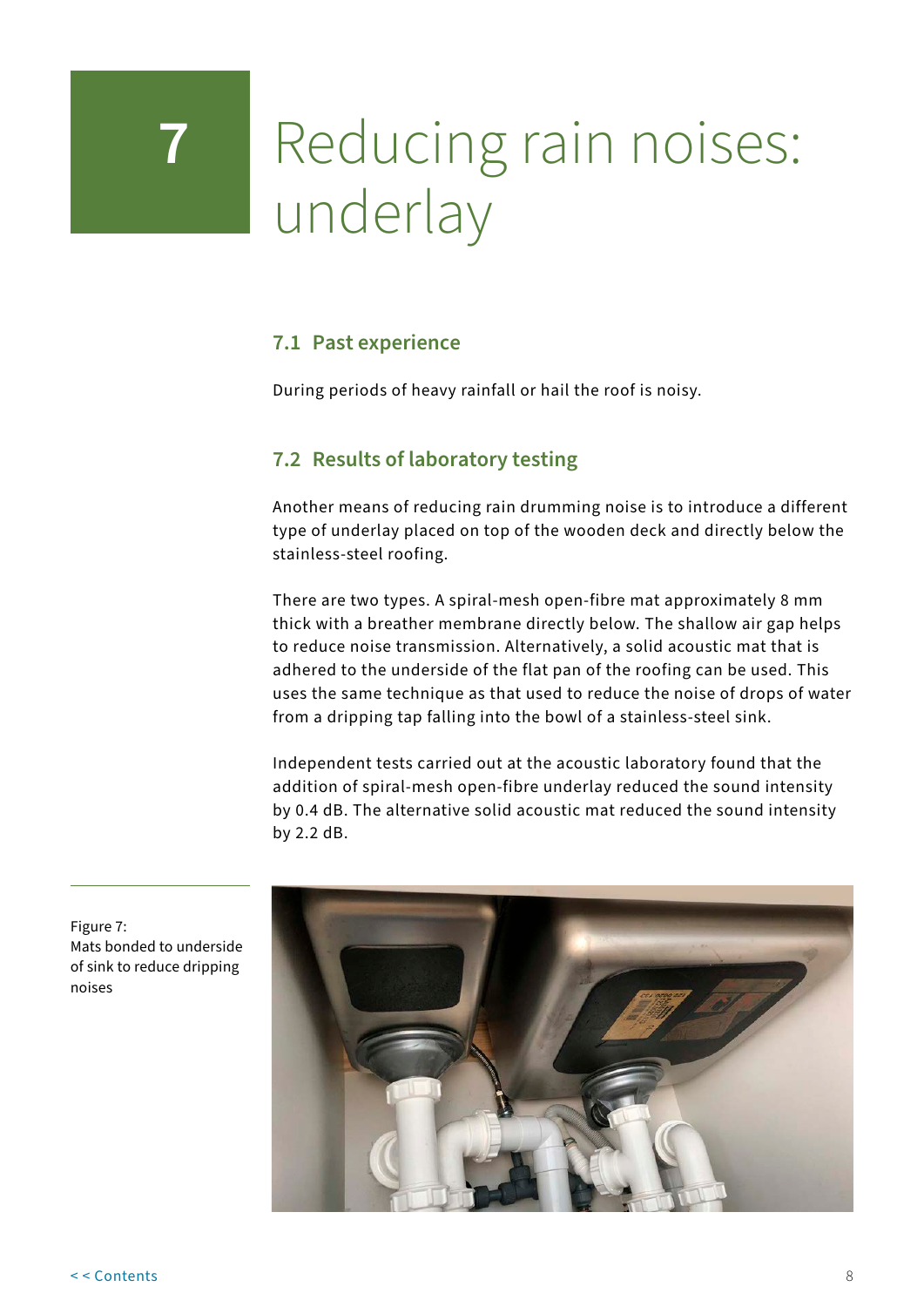# <span id="page-10-0"></span>**7** Reducing rain noises: underlay

## **7.1 Past experience**

During periods of heavy rainfall or hail the roof is noisy.

## **7.2 Results of laboratory testing**

Another means of reducing rain drumming noise is to introduce a different type of underlay placed on top of the wooden deck and directly below the stainless-steel roofing.

There are two types. A spiral-mesh open-fibre mat approximately 8 mm thick with a breather membrane directly below. The shallow air gap helps to reduce noise transmission. Alternatively, a solid acoustic mat that is adhered to the underside of the flat pan of the roofing can be used. This uses the same technique as that used to reduce the noise of drops of water from a dripping tap falling into the bowl of a stainless-steel sink.

Independent tests carried out at the acoustic laboratory found that the addition of spiral-mesh open-fibre underlay reduced the sound intensity by 0.4 dB. The alternative solid acoustic mat reduced the sound intensity by 2.2 dB.



Figure 7: Mats bonded to underside of sink to reduce dripping noises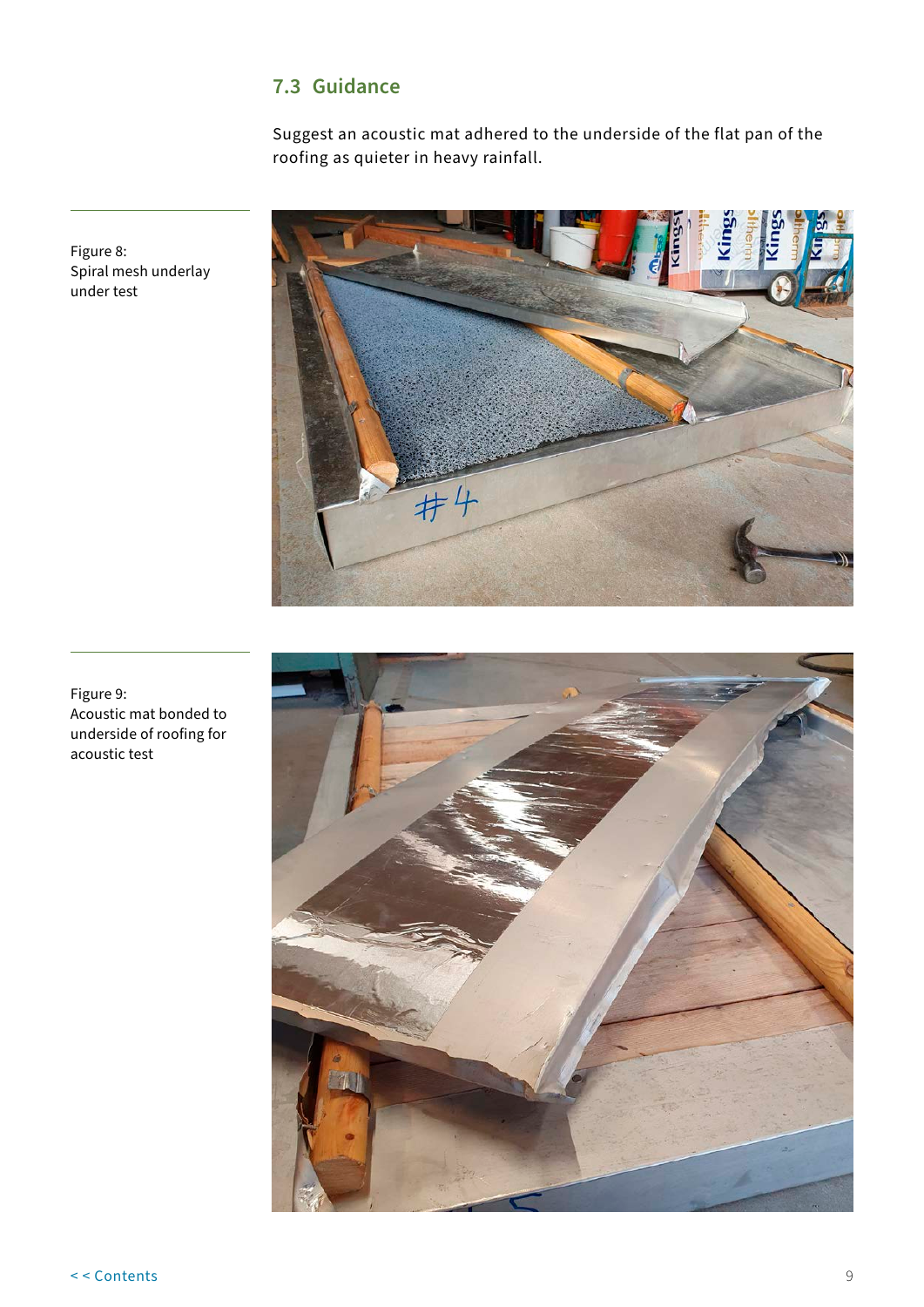## **7.3 Guidance**

Suggest an acoustic mat adhered to the underside of the flat pan of the roofing as quieter in heavy rainfall.



Figure 8: Spiral mesh underlay under test

Figure 9: Acoustic mat bonded to underside of roofing for acoustic test

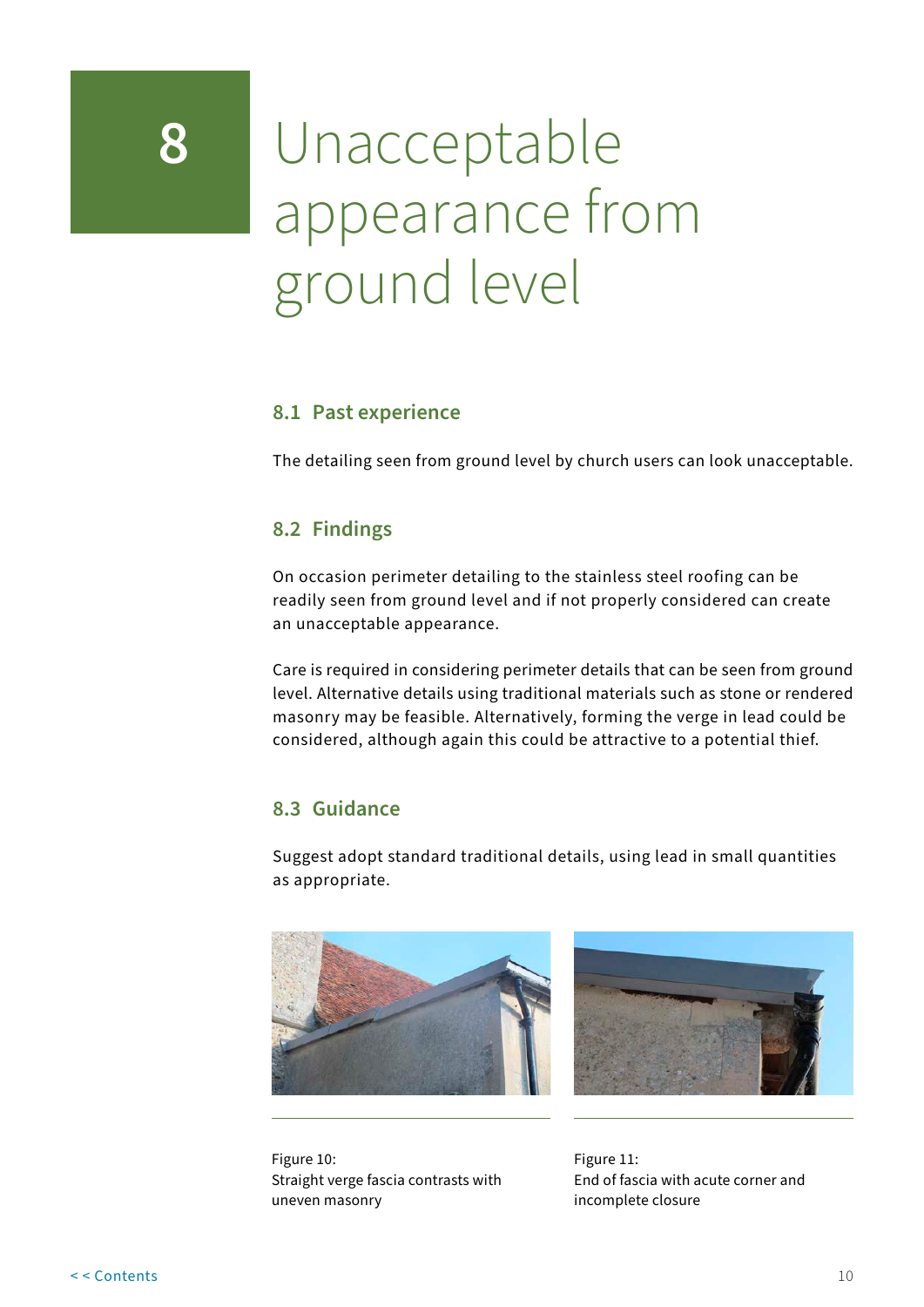## <span id="page-12-0"></span>**8** Unacceptable appearance from ground level

## **8.1 Past experience**

The detailing seen from ground level by church users can look unacceptable.

## **8.2 Findings**

On occasion perimeter detailing to the stainless steel roofing can be readily seen from ground level and if not properly considered can create an unacceptable appearance.

Care is required in considering perimeter details that can be seen from ground level. Alternative details using traditional materials such as stone or rendered masonry may be feasible. Alternatively, forming the verge in lead could be considered, although again this could be attractive to a potential thief.

## **8.3 Guidance**

Suggest adopt standard traditional details, using lead in small quantities as appropriate.





Figure 10: Straight verge fascia contrasts with uneven masonry

Figure 11: End of fascia with acute corner and incomplete closure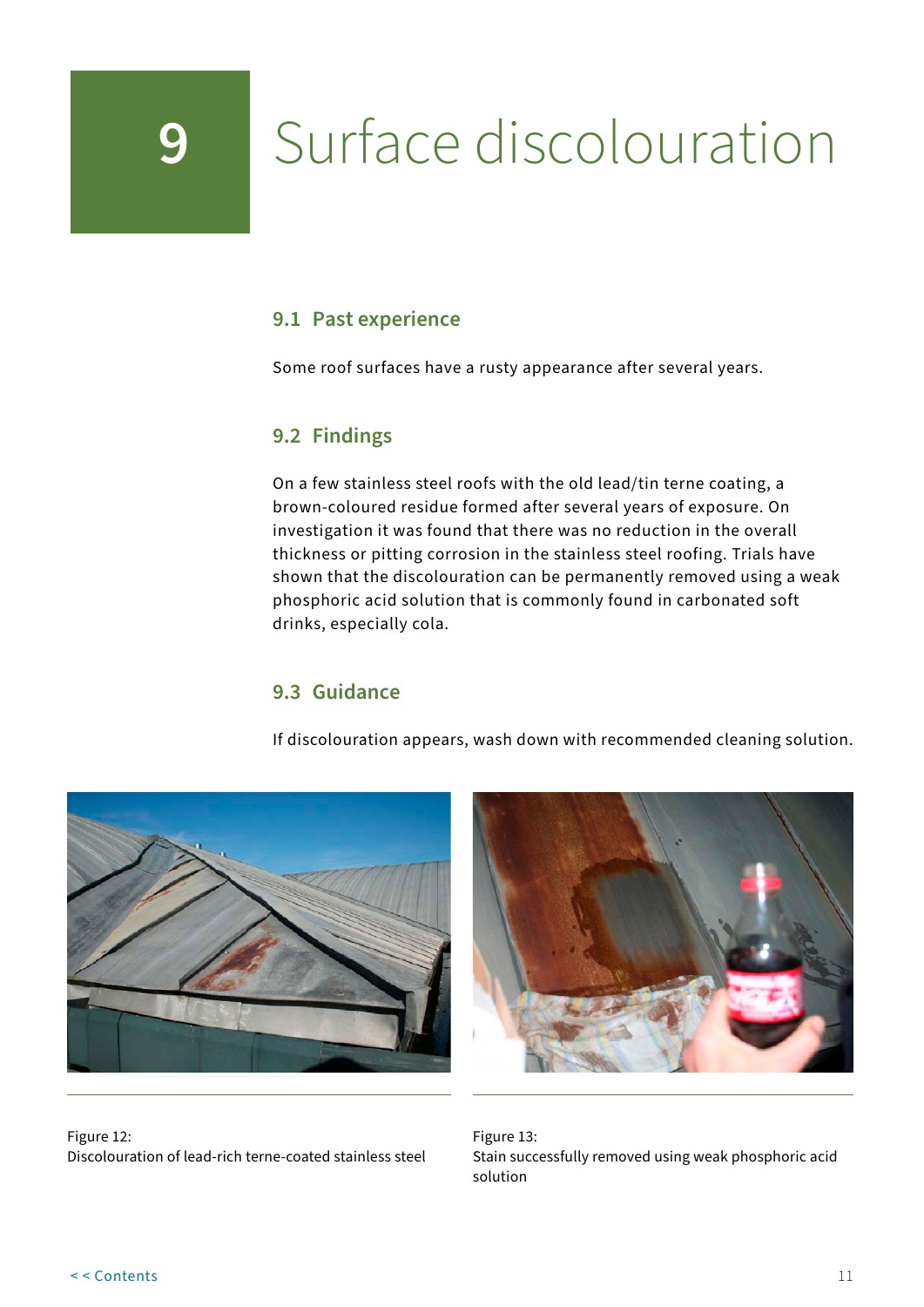# <span id="page-13-0"></span>**9** Surface discolouration

## **9.1 Past experience**

Some roof surfaces have a rusty appearance after several years.

## **9.2 Findings**

On a few stainless steel roofs with the old lead/tin terne coating, a brown-coloured residue formed after several years of exposure. On investigation it was found that there was no reduction in the overall thickness or pitting corrosion in the stainless steel roofing. Trials have shown that the discolouration can be permanently removed using a weak phosphoric acid solution that is commonly found in carbonated soft drinks, especially cola.

## **9.3 Guidance**

If discolouration appears, wash down with recommended cleaning solution.





Figure 12: Discolouration of lead-rich terne-coated stainless steel

Figure 13: Stain successfully removed using weak phosphoric acid solution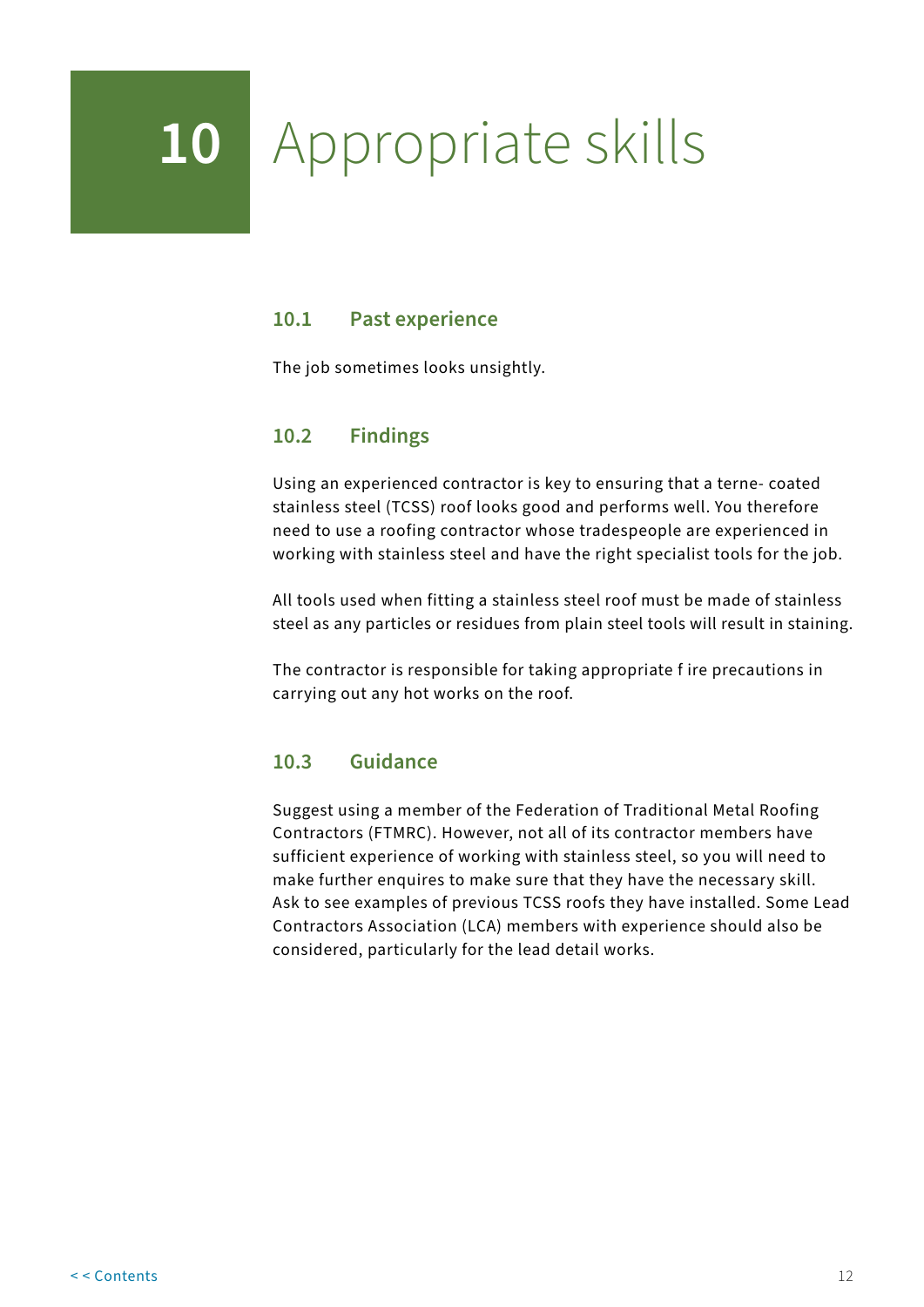# <span id="page-14-0"></span>**10** Appropriate skills

## **10.1 Past experience**

The job sometimes looks unsightly.

## **10.2 Findings**

Using an experienced contractor is key to ensuring that a terne- coated stainless steel (TCSS) roof looks good and performs well. You therefore need to use a roofing contractor whose tradespeople are experienced in working with stainless steel and have the right specialist tools for the job.

All tools used when fitting a stainless steel roof must be made of stainless steel as any particles or residues from plain steel tools will result in staining.

The contractor is responsible for taking appropriate f ire precautions in carrying out any hot works on the roof.

## **10.3 Guidance**

Suggest using a member of the Federation of Traditional Metal Roofing Contractors (FTMRC). However, not all of its contractor members have sufficient experience of working with stainless steel, so you will need to make further enquires to make sure that they have the necessary skill. Ask to see examples of previous TCSS roofs they have installed. Some Lead Contractors Association (LCA) members with experience should also be considered, particularly for the lead detail works.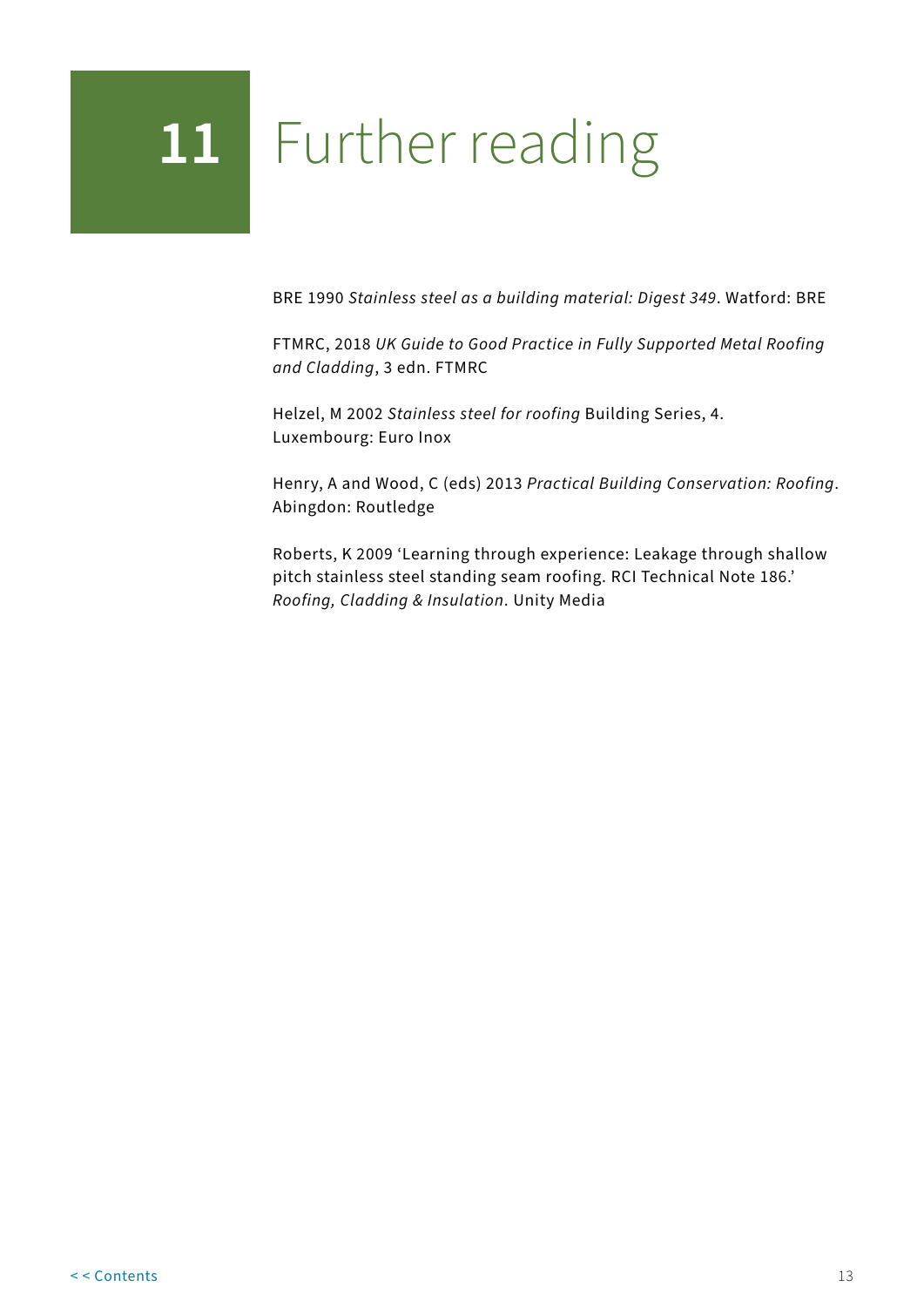## <span id="page-15-0"></span>**11** Further reading

BRE 1990 *Stainless steel as a building material: Digest 349*. Watford: BRE

FTMRC, 2018 *UK Guide to Good Practice in Fully Supported Metal Roofing and Cladding*, 3 edn. FTMRC

Helzel, M 2002 *Stainless steel for roofing* Building Series, 4. Luxembourg: Euro Inox

Henry, A and Wood, C (eds) 2013 *Practical Building Conservation: Roofing*. Abingdon: Routledge

Roberts, K 2009 'Learning through experience: Leakage through shallow pitch stainless steel standing seam roofing. RCI Technical Note 186.' *Roofing, Cladding & Insulation*. Unity Media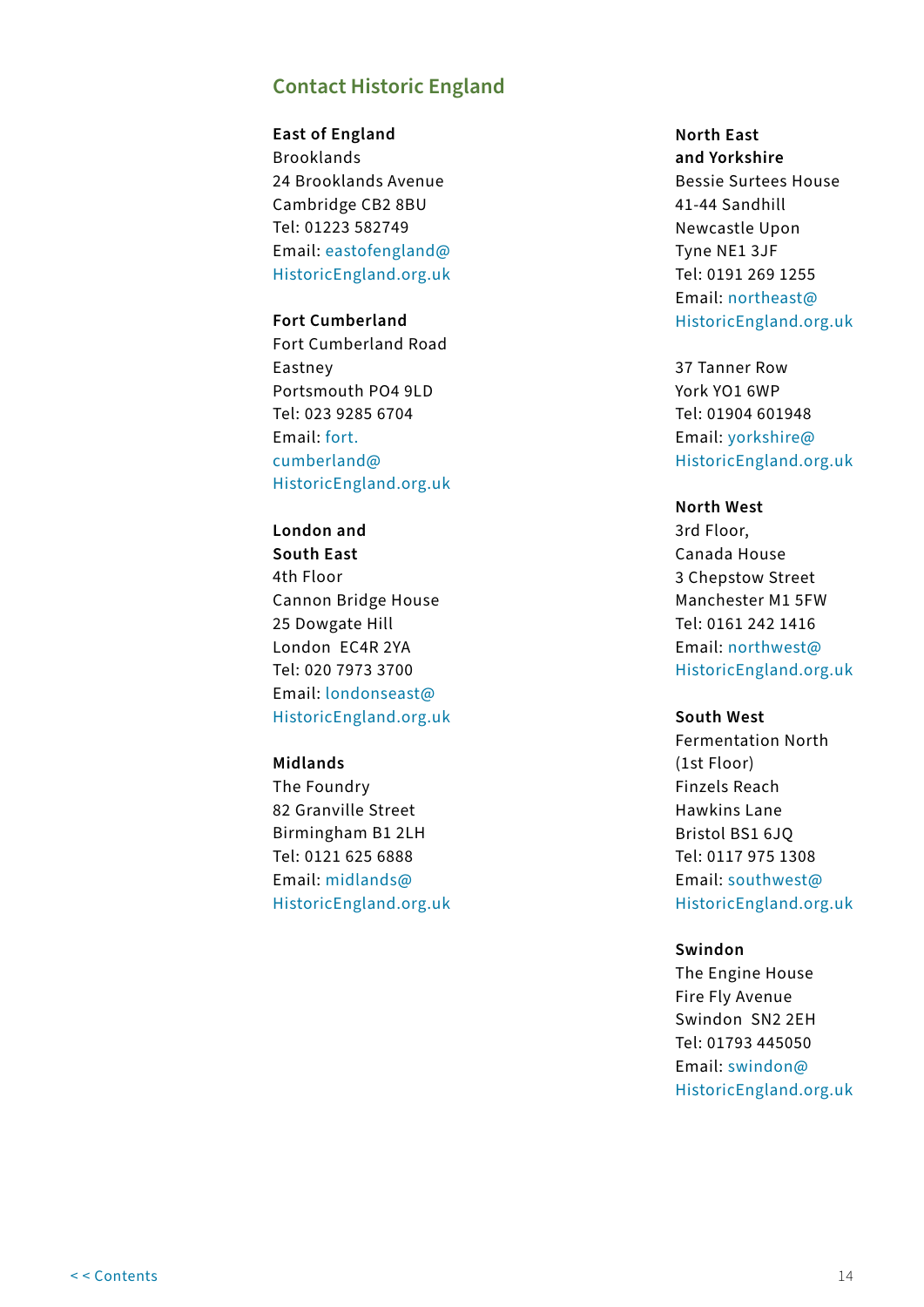## **Contact Historic England**

**East of England** Brooklands 24 Brooklands Avenue Cambridge CB2 8BU Tel: 01223 582749 Email: [eastofengland@](mailto:eastofengland%40HistoricEngland.org.uk?subject=Guidance) [HistoricEngland.org.uk](mailto:eastofengland%40HistoricEngland.org.uk?subject=Guidance)

### **Fort Cumberland** Fort Cumberland Road Eastney Portsmouth PO4 9LD Tel: 023 9285 6704 Email: [fort.](mailto:fort.cumberland%40HistoricEngland.org.uk?subject=Guidance) [cumberland@](mailto:fort.cumberland%40HistoricEngland.org.uk?subject=Guidance) [HistoricEngland.org.uk](mailto:fort.cumberland%40HistoricEngland.org.uk?subject=Guidance)

**London and South East** 4th Floor Cannon Bridge House 25 Dowgate Hill London EC4R 2YA Tel: 020 7973 3700 Email: [londonseast@](mailto:londonseast%40HistoricEngland.org.uk?subject=Guidance) [HistoricEngland.org.uk](mailto:londonseast%40HistoricEngland.org.uk?subject=Guidance)

#### **Midlands**

The Foundry 82 Granville Street Birmingham B1 2LH Tel: 0121 625 6888 Email: [midlands@](mailto:midlands%40HistoricEngland.org.uk?subject=Guidance) [HistoricEngland.org.uk](mailto:midlands%40HistoricEngland.org.uk?subject=Guidance)

### **North East and Yorkshire** Bessie Surtees House 41-44 Sandhill Newcastle Upon Tyne NE1 3JF Tel: 0191 269 1255 Email: [northeast@](mailto:northeast%40HistoricEngland.org.uk?subject=Guidance) [HistoricEngland.org.uk](mailto:northeast%40HistoricEngland.org.uk?subject=Guidance)

37 Tanner Row York YO1 6WP Tel: 01904 601948 Email: [yorkshire@](mailto:yorkshire%40HistoricEngland.org.uk?subject=Guidance) [HistoricEngland.org.uk](mailto:yorkshire%40HistoricEngland.org.uk?subject=Guidance)

#### **North West**

3rd Floor, Canada House 3 Chepstow Street Manchester M1 5FW Tel: 0161 242 1416 Email: [northwest@](mailto:northwest%40HistoricEngland.org.uk?subject=Guidance) [HistoricEngland.org.uk](mailto:northwest%40HistoricEngland.org.uk?subject=Guidance)

#### **South West**

Fermentation North (1st Floor) Finzels Reach Hawkins Lane Bristol BS1 6JQ Tel: 0117 975 1308 Email: [southwest@](mailto:southwest%40HistoricEngland.org.uk?subject=Guidance) [HistoricEngland.org.uk](mailto:southwest%40HistoricEngland.org.uk?subject=Guidance)

#### **Swindon**

The Engine House Fire Fly Avenue Swindon SN2 2EH Tel: 01793 445050 Email: [swindon@](mailto:swindon%40%0AHistoricEngland.org.uk?subject=Guidance) [HistoricEngland.org.uk](mailto:swindon%40%0AHistoricEngland.org.uk?subject=Guidance)